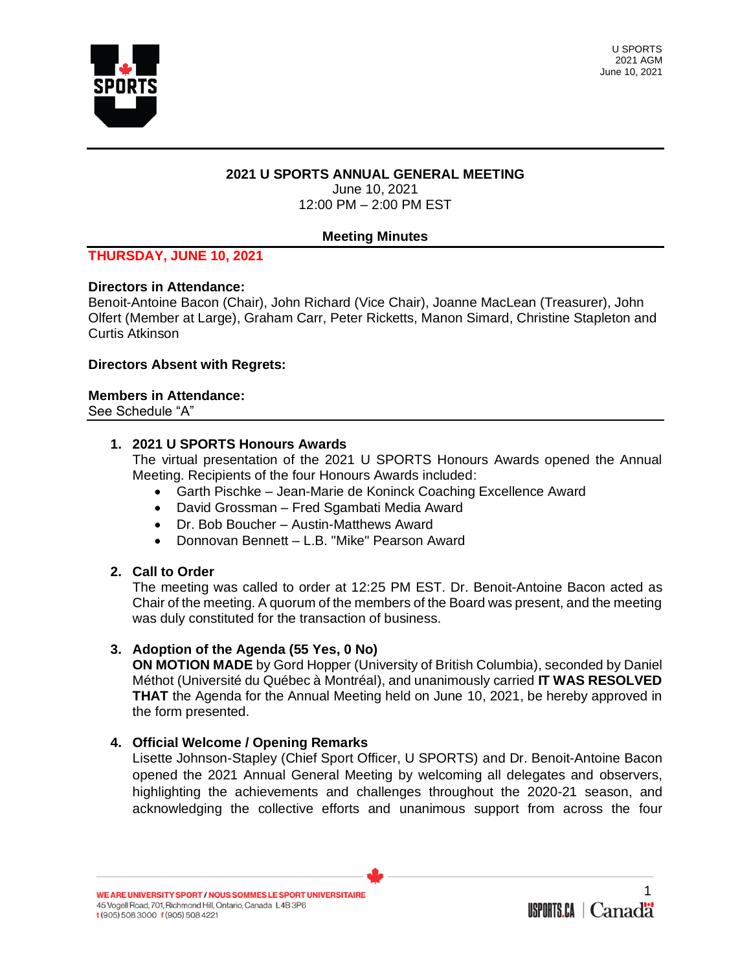

## **2021 U SPORTS ANNUAL GENERAL MEETING**

June 10, 2021 12:00 PM – 2:00 PM EST

# **Meeting Minutes**

## **THURSDAY, JUNE 10, 2021**

### **Directors in Attendance:**

Benoit-Antoine Bacon (Chair), John Richard (Vice Chair), Joanne MacLean (Treasurer), John Olfert (Member at Large), Graham Carr, Peter Ricketts, Manon Simard, Christine Stapleton and Curtis Atkinson

### **Directors Absent with Regrets:**

#### **Members in Attendance:**

See Schedule "A"

### **1. 2021 U SPORTS Honours Awards**

The virtual presentation of the 2021 U SPORTS Honours Awards opened the Annual Meeting. Recipients of the four Honours Awards included:

- Garth Pischke Jean-Marie de Koninck Coaching Excellence Award
- David Grossman Fred Sgambati Media Award
- Dr. Bob Boucher Austin-Matthews Award
- Donnovan Bennett L.B. "Mike" Pearson Award

### **2. Call to Order**

The meeting was called to order at 12:25 PM EST. Dr. Benoit-Antoine Bacon acted as Chair of the meeting. A quorum of the members of the Board was present, and the meeting was duly constituted for the transaction of business.

### **3. Adoption of the Agenda (55 Yes, 0 No)**

**ON MOTION MADE** by Gord Hopper (University of British Columbia), seconded by Daniel Méthot (Université du Québec à Montréal), and unanimously carried **IT WAS RESOLVED THAT** the Agenda for the Annual Meeting held on June 10, 2021, be hereby approved in the form presented.

### **4. Official Welcome / Opening Remarks**

Lisette Johnson-Stapley (Chief Sport Officer, U SPORTS) and Dr. Benoit-Antoine Bacon opened the 2021 Annual General Meeting by welcoming all delegates and observers, highlighting the achievements and challenges throughout the 2020-21 season, and acknowledging the collective efforts and unanimous support from across the four

WE ARE UNIVERSITY SPORT / NOUS SOMMES LE SPORT UNIVERSITAIRE 45 Vogell Road, 701, Richmond Hill, Ontario, Canada L4B 3P6 t (905) 508 3000 f (905) 508 4221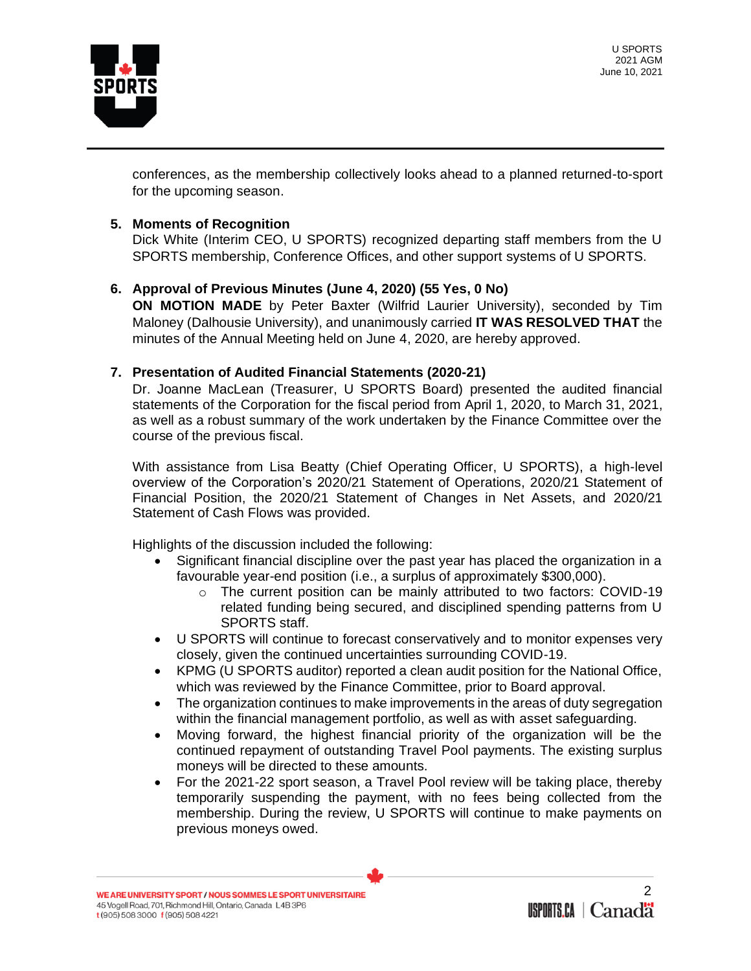

conferences, as the membership collectively looks ahead to a planned returned-to-sport for the upcoming season.

## **5. Moments of Recognition**

Dick White (Interim CEO, U SPORTS) recognized departing staff members from the U SPORTS membership, Conference Offices, and other support systems of U SPORTS.

# **6. Approval of Previous Minutes (June 4, 2020) (55 Yes, 0 No)**

**ON MOTION MADE** by Peter Baxter (Wilfrid Laurier University), seconded by Tim Maloney (Dalhousie University), and unanimously carried **IT WAS RESOLVED THAT** the minutes of the Annual Meeting held on June 4, 2020, are hereby approved.

# **7. Presentation of Audited Financial Statements (2020-21)**

Dr. Joanne MacLean (Treasurer, U SPORTS Board) presented the audited financial statements of the Corporation for the fiscal period from April 1, 2020, to March 31, 2021, as well as a robust summary of the work undertaken by the Finance Committee over the course of the previous fiscal.

With assistance from Lisa Beatty (Chief Operating Officer, U SPORTS), a high-level overview of the Corporation's 2020/21 Statement of Operations, 2020/21 Statement of Financial Position, the 2020/21 Statement of Changes in Net Assets, and 2020/21 Statement of Cash Flows was provided.

Highlights of the discussion included the following:

- Significant financial discipline over the past year has placed the organization in a favourable year-end position (i.e., a surplus of approximately \$300,000).
	- o The current position can be mainly attributed to two factors: COVID-19 related funding being secured, and disciplined spending patterns from U SPORTS staff.
- U SPORTS will continue to forecast conservatively and to monitor expenses very closely, given the continued uncertainties surrounding COVID-19.
- KPMG (U SPORTS auditor) reported a clean audit position for the National Office, which was reviewed by the Finance Committee, prior to Board approval.
- The organization continues to make improvements in the areas of duty segregation within the financial management portfolio, as well as with asset safeguarding.
- Moving forward, the highest financial priority of the organization will be the continued repayment of outstanding Travel Pool payments. The existing surplus moneys will be directed to these amounts.
- For the 2021-22 sport season, a Travel Pool review will be taking place, thereby temporarily suspending the payment, with no fees being collected from the membership. During the review, U SPORTS will continue to make payments on previous moneys owed.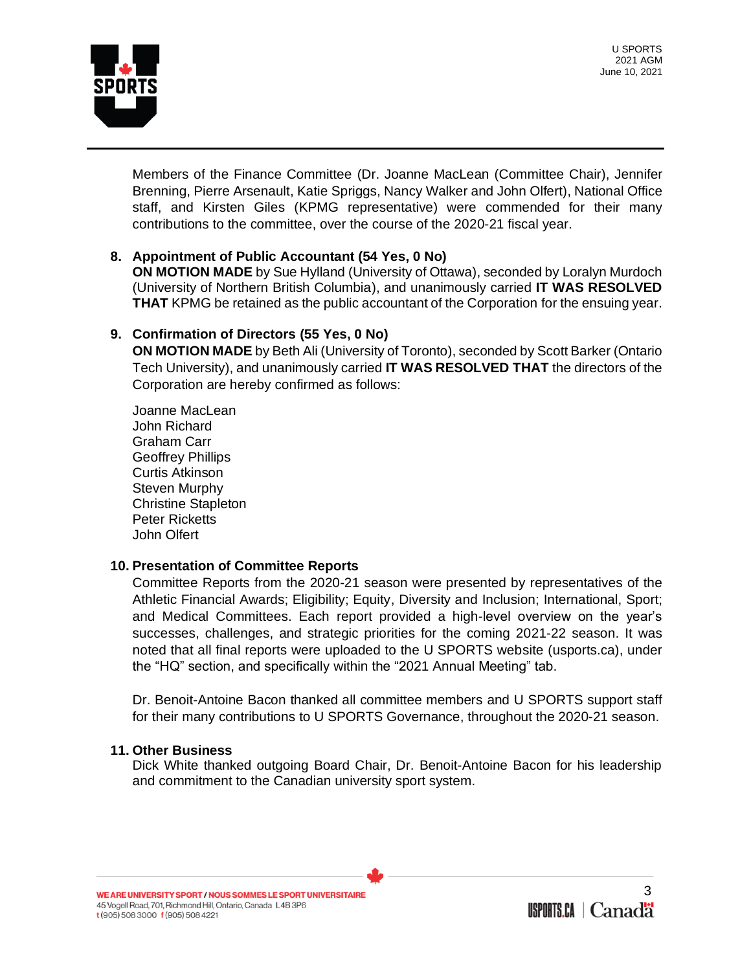SPORTS

U SPORTS 2021 AGM June 10, 2021

Members of the Finance Committee (Dr. Joanne MacLean (Committee Chair), Jennifer Brenning, Pierre Arsenault, Katie Spriggs, Nancy Walker and John Olfert), National Office staff, and Kirsten Giles (KPMG representative) were commended for their many contributions to the committee, over the course of the 2020-21 fiscal year.

# **8. Appointment of Public Accountant (54 Yes, 0 No)**

**ON MOTION MADE** by Sue Hylland (University of Ottawa), seconded by Loralyn Murdoch (University of Northern British Columbia), and unanimously carried **IT WAS RESOLVED THAT** KPMG be retained as the public accountant of the Corporation for the ensuing year.

## **9. Confirmation of Directors (55 Yes, 0 No)**

**ON MOTION MADE** by Beth Ali (University of Toronto), seconded by Scott Barker (Ontario Tech University), and unanimously carried **IT WAS RESOLVED THAT** the directors of the Corporation are hereby confirmed as follows:

Joanne MacLean John Richard Graham Carr Geoffrey Phillips Curtis Atkinson Steven Murphy Christine Stapleton Peter Ricketts John Olfert

### **10. Presentation of Committee Reports**

Committee Reports from the 2020-21 season were presented by representatives of the Athletic Financial Awards; Eligibility; Equity, Diversity and Inclusion; International, Sport; and Medical Committees. Each report provided a high-level overview on the year's successes, challenges, and strategic priorities for the coming 2021-22 season. It was noted that all final reports were uploaded to the U SPORTS website (usports.ca), under the "HQ" section, and specifically within the "2021 Annual Meeting" tab.

Dr. Benoit-Antoine Bacon thanked all committee members and U SPORTS support staff for their many contributions to U SPORTS Governance, throughout the 2020-21 season.

### **11. Other Business**

Dick White thanked outgoing Board Chair, Dr. Benoit-Antoine Bacon for his leadership and commitment to the Canadian university sport system.

WE ARE UNIVERSITY SPORT / NOUS SOMMES LE SPORT UNIVERSITAIRE 45 Vogell Road, 701, Richmond Hill, Ontario, Canada L4B 3P6 t (905) 508 3000 f (905) 508 4221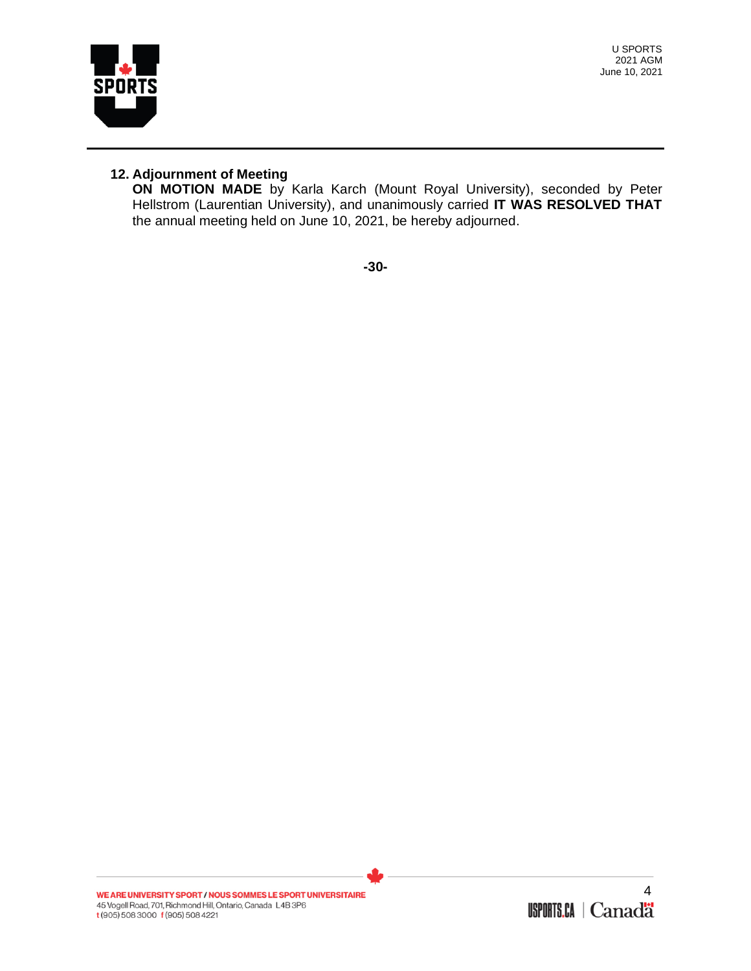

U SPORTS 2021 AGM June 10, 2021

# **12. Adjournment of Meeting**

**ON MOTION MADE** by Karla Karch (Mount Royal University), seconded by Peter Hellstrom (Laurentian University), and unanimously carried **IT WAS RESOLVED THAT**  the annual meeting held on June 10, 2021, be hereby adjourned.

**-30-**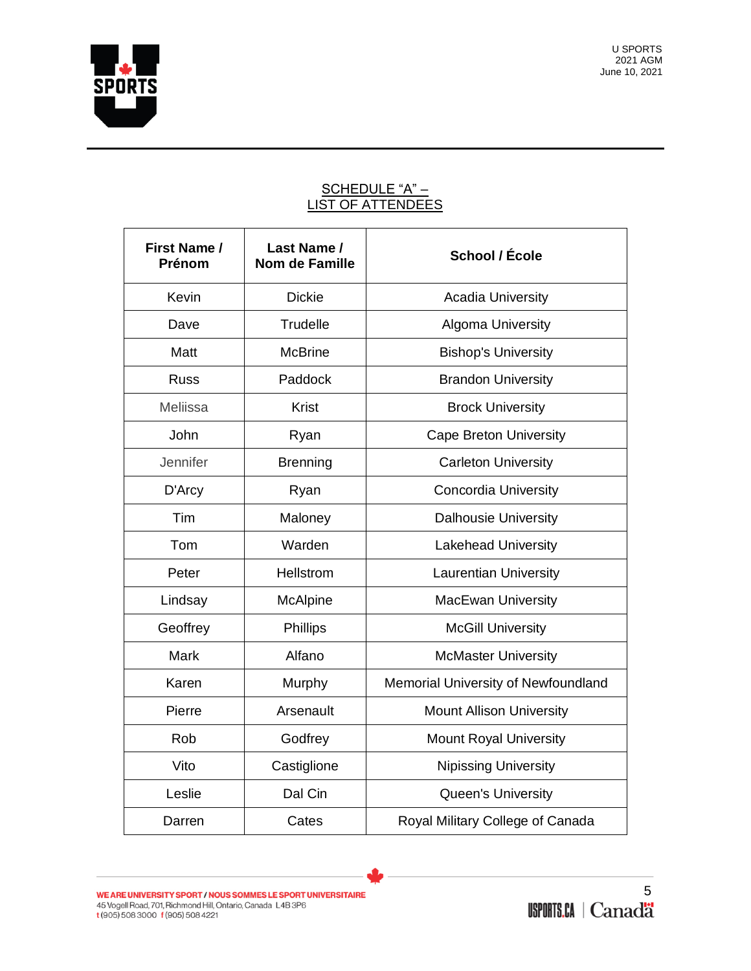

# <u>SCHEDULE "A" –</u> LIST OF ATTENDEES

| <b>First Name /</b><br>Prénom | Last Name /<br><b>Nom de Famille</b> | School / École                      |
|-------------------------------|--------------------------------------|-------------------------------------|
| Kevin                         | <b>Dickie</b>                        | <b>Acadia University</b>            |
| Dave                          | Trudelle                             | <b>Algoma University</b>            |
| Matt                          | <b>McBrine</b>                       | <b>Bishop's University</b>          |
| <b>Russ</b>                   | Paddock                              | <b>Brandon University</b>           |
| Meliissa                      | <b>Krist</b>                         | <b>Brock University</b>             |
| John                          | Ryan                                 | <b>Cape Breton University</b>       |
| Jennifer                      | <b>Brenning</b>                      | <b>Carleton University</b>          |
| D'Arcy                        | Ryan                                 | <b>Concordia University</b>         |
| Tim                           | Maloney                              | <b>Dalhousie University</b>         |
| Tom                           | Warden                               | <b>Lakehead University</b>          |
| Peter                         | Hellstrom                            | <b>Laurentian University</b>        |
| Lindsay                       | McAlpine                             | <b>MacEwan University</b>           |
| Geoffrey                      | <b>Phillips</b>                      | <b>McGill University</b>            |
| Mark                          | Alfano                               | <b>McMaster University</b>          |
| Karen                         | Murphy                               | Memorial University of Newfoundland |
| Pierre                        | Arsenault                            | <b>Mount Allison University</b>     |
| Rob                           | Godfrey                              | <b>Mount Royal University</b>       |
| Vito                          | Castiglione                          | <b>Nipissing University</b>         |
| Leslie                        | Dal Cin                              | <b>Queen's University</b>           |
| Darren                        | Cates                                | Royal Military College of Canada    |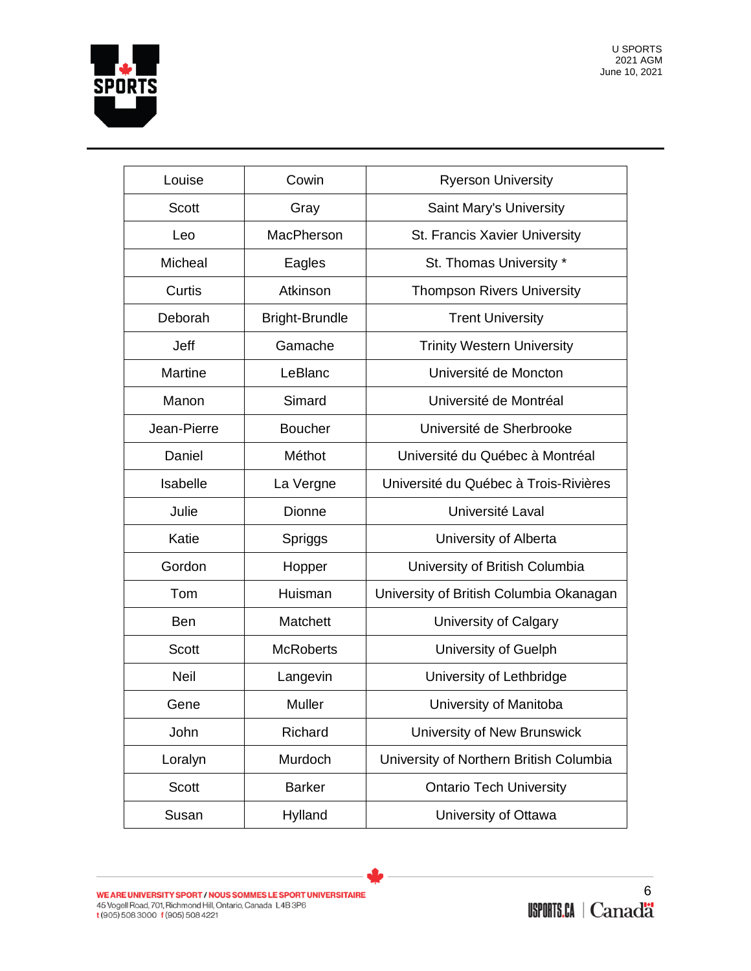

| Louise         | Cowin                 | <b>Ryerson University</b>               |
|----------------|-----------------------|-----------------------------------------|
| <b>Scott</b>   | Gray                  | Saint Mary's University                 |
| Leo            | MacPherson            | St. Francis Xavier University           |
| Micheal        | Eagles                | St. Thomas University *                 |
| Curtis         | Atkinson              | <b>Thompson Rivers University</b>       |
| Deborah        | <b>Bright-Brundle</b> | <b>Trent University</b>                 |
| Jeff           | Gamache               | <b>Trinity Western University</b>       |
| <b>Martine</b> | LeBlanc               | Université de Moncton                   |
| Manon          | Simard                | Université de Montréal                  |
| Jean-Pierre    | <b>Boucher</b>        | Université de Sherbrooke                |
| Daniel         | Méthot                | Université du Québec à Montréal         |
| Isabelle       | La Vergne             | Université du Québec à Trois-Rivières   |
| Julie          | Dionne                | Université Laval                        |
| Katie          | Spriggs               | University of Alberta                   |
| Gordon         | Hopper                | University of British Columbia          |
| Tom            | Huisman               | University of British Columbia Okanagan |
| Ben            | Matchett              | University of Calgary                   |
| <b>Scott</b>   | <b>McRoberts</b>      | University of Guelph                    |
| <b>Neil</b>    | Langevin              | University of Lethbridge                |
| Gene           | Muller                | University of Manitoba                  |
| John           | Richard               | University of New Brunswick             |
| Loralyn        | Murdoch               | University of Northern British Columbia |
| Scott          | <b>Barker</b>         | <b>Ontario Tech University</b>          |
| Susan          | Hylland               | University of Ottawa                    |

WE ARE UNIVERSITY SPORT / NOUS SOMMES LE SPORT UNIVERSITAIRE<br>45 Vogell Road, 701, Richmond Hill, Ontario, Canada L4B 3P6<br>t (905) 508 3000 f (905) 508 4221